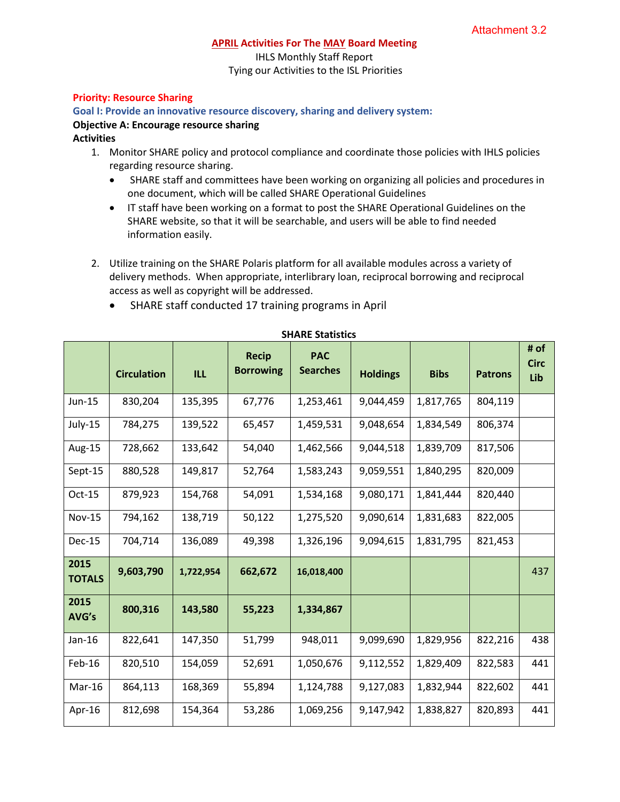#### **APRIL Activities For The MAY Board Meeting**

IHLS Monthly Staff Report Tying our Activities to the ISL Priorities

### **Priority: Resource Sharing**

### **Goal I: Provide an innovative resource discovery, sharing and delivery system:**

# **Objective A: Encourage resource sharing**

### **Activities**

- 1. Monitor SHARE policy and protocol compliance and coordinate those policies with IHLS policies regarding resource sharing.
	- SHARE staff and committees have been working on organizing all policies and procedures in one document, which will be called SHARE Operational Guidelines
	- IT staff have been working on a format to post the SHARE Operational Guidelines on the SHARE website, so that it will be searchable, and users will be able to find needed information easily.
- 2. Utilize training on the SHARE Polaris platform for all available modules across a variety of delivery methods. When appropriate, interlibrary loan, reciprocal borrowing and reciprocal access as well as copyright will be addressed.

|  | SHARE staff conducted 17 training programs in April |  |  |  |  |  |  |
|--|-----------------------------------------------------|--|--|--|--|--|--|
|--|-----------------------------------------------------|--|--|--|--|--|--|

|                       | <b>Circulation</b> | <b>ILL</b> | <b>Recip</b><br><b>Borrowing</b> | <b>PAC</b><br><b>Searches</b> | <b>Holdings</b> | <b>Bibs</b> | <b>Patrons</b> | # of<br><b>Circ</b><br>Lib |
|-----------------------|--------------------|------------|----------------------------------|-------------------------------|-----------------|-------------|----------------|----------------------------|
| Jun-15                | 830,204            | 135,395    | 67,776                           | 1,253,461                     | 9,044,459       | 1,817,765   | 804,119        |                            |
| July-15               | 784,275            | 139,522    | 65,457                           | 1,459,531                     | 9,048,654       | 1,834,549   | 806,374        |                            |
| Aug-15                | 728,662            | 133,642    | 54,040                           | 1,462,566                     | 9,044,518       | 1,839,709   | 817,506        |                            |
| Sept-15               | 880,528            | 149,817    | 52,764                           | 1,583,243                     | 9,059,551       | 1,840,295   | 820,009        |                            |
| Oct-15                | 879,923            | 154,768    | 54,091                           | 1,534,168                     | 9,080,171       | 1,841,444   | 820,440        |                            |
| <b>Nov-15</b>         | 794,162            | 138,719    | 50,122                           | 1,275,520                     | 9,090,614       | 1,831,683   | 822,005        |                            |
| Dec-15                | 704,714            | 136,089    | 49,398                           | 1,326,196                     | 9,094,615       | 1,831,795   | 821,453        |                            |
| 2015<br><b>TOTALS</b> | 9,603,790          | 1,722,954  | 662,672                          | 16,018,400                    |                 |             |                | 437                        |
| 2015<br>AVG's         | 800,316            | 143,580    | 55,223                           | 1,334,867                     |                 |             |                |                            |
| Jan-16                | 822,641            | 147,350    | 51,799                           | 948,011                       | 9,099,690       | 1,829,956   | 822,216        | 438                        |
| Feb-16                | 820,510            | 154,059    | 52,691                           | 1,050,676                     | 9,112,552       | 1,829,409   | 822,583        | 441                        |
| Mar-16                | 864,113            | 168,369    | 55,894                           | 1,124,788                     | 9,127,083       | 1,832,944   | 822,602        | 441                        |
| Apr-16                | 812,698            | 154,364    | 53,286                           | 1,069,256                     | 9,147,942       | 1,838,827   | 820,893        | 441                        |

## **SHARE Statistics**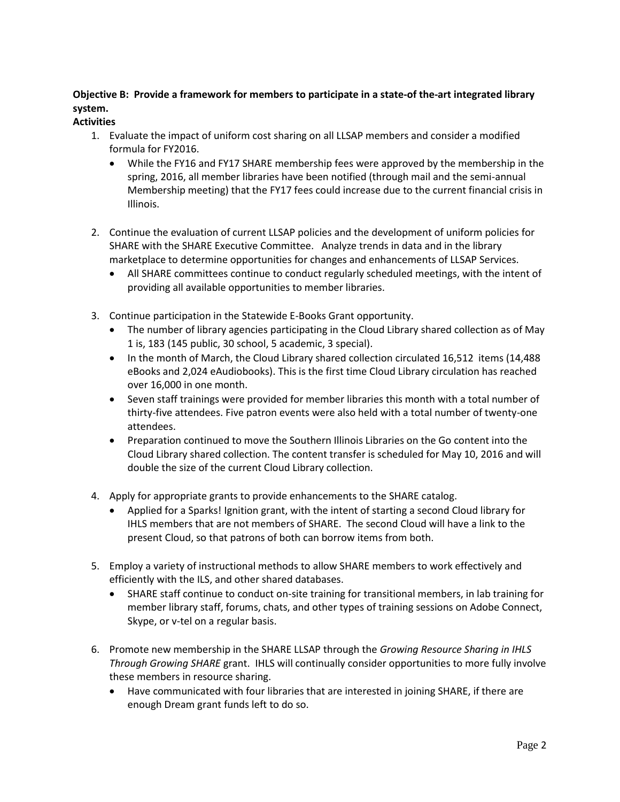# **Objective B: Provide a framework for members to participate in a state-of the-art integrated library system.**

# **Activities**

- 1. Evaluate the impact of uniform cost sharing on all LLSAP members and consider a modified formula for FY2016.
	- While the FY16 and FY17 SHARE membership fees were approved by the membership in the spring, 2016, all member libraries have been notified (through mail and the semi-annual Membership meeting) that the FY17 fees could increase due to the current financial crisis in Illinois.
- 2. Continue the evaluation of current LLSAP policies and the development of uniform policies for SHARE with the SHARE Executive Committee. Analyze trends in data and in the library marketplace to determine opportunities for changes and enhancements of LLSAP Services.
	- All SHARE committees continue to conduct regularly scheduled meetings, with the intent of providing all available opportunities to member libraries.
- 3. Continue participation in the Statewide E-Books Grant opportunity.
	- The number of library agencies participating in the Cloud Library shared collection as of May 1 is, 183 (145 public, 30 school, 5 academic, 3 special).
	- In the month of March, the Cloud Library shared collection circulated 16,512 items (14,488) eBooks and 2,024 eAudiobooks). This is the first time Cloud Library circulation has reached over 16,000 in one month.
	- Seven staff trainings were provided for member libraries this month with a total number of thirty-five attendees. Five patron events were also held with a total number of twenty-one attendees.
	- Preparation continued to move the Southern Illinois Libraries on the Go content into the Cloud Library shared collection. The content transfer is scheduled for May 10, 2016 and will double the size of the current Cloud Library collection.
- 4. Apply for appropriate grants to provide enhancements to the SHARE catalog.
	- Applied for a Sparks! Ignition grant, with the intent of starting a second Cloud library for IHLS members that are not members of SHARE. The second Cloud will have a link to the present Cloud, so that patrons of both can borrow items from both.
- 5. Employ a variety of instructional methods to allow SHARE members to work effectively and efficiently with the ILS, and other shared databases.
	- SHARE staff continue to conduct on-site training for transitional members, in lab training for member library staff, forums, chats, and other types of training sessions on Adobe Connect, Skype, or v-tel on a regular basis.
- 6. Promote new membership in the SHARE LLSAP through the *Growing Resource Sharing in IHLS Through Growing SHARE* grant. IHLS will continually consider opportunities to more fully involve these members in resource sharing.
	- Have communicated with four libraries that are interested in joining SHARE, if there are enough Dream grant funds left to do so.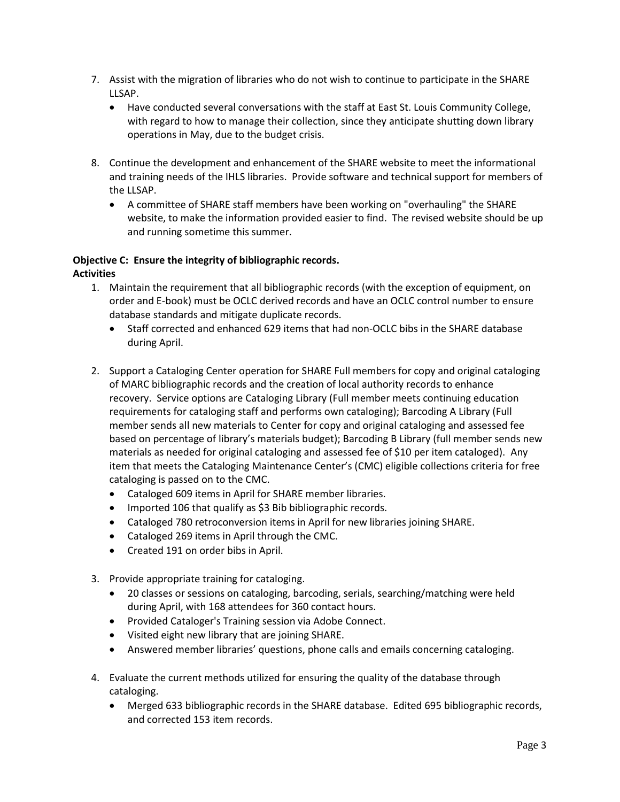- 7. Assist with the migration of libraries who do not wish to continue to participate in the SHARE LLSAP.
	- Have conducted several conversations with the staff at East St. Louis Community College, with regard to how to manage their collection, since they anticipate shutting down library operations in May, due to the budget crisis.
- 8. Continue the development and enhancement of the SHARE website to meet the informational and training needs of the IHLS libraries. Provide software and technical support for members of the LLSAP.
	- A committee of SHARE staff members have been working on "overhauling" the SHARE website, to make the information provided easier to find. The revised website should be up and running sometime this summer.

# **Objective C: Ensure the integrity of bibliographic records.**

**Activities**

- 1. Maintain the requirement that all bibliographic records (with the exception of equipment, on order and E-book) must be OCLC derived records and have an OCLC control number to ensure database standards and mitigate duplicate records.
	- Staff corrected and enhanced 629 items that had non-OCLC bibs in the SHARE database during April.
- 2. Support a Cataloging Center operation for SHARE Full members for copy and original cataloging of MARC bibliographic records and the creation of local authority records to enhance recovery. Service options are Cataloging Library (Full member meets continuing education requirements for cataloging staff and performs own cataloging); Barcoding A Library (Full member sends all new materials to Center for copy and original cataloging and assessed fee based on percentage of library's materials budget); Barcoding B Library (full member sends new materials as needed for original cataloging and assessed fee of \$10 per item cataloged). Any item that meets the Cataloging Maintenance Center's (CMC) eligible collections criteria for free cataloging is passed on to the CMC.
	- Cataloged 609 items in April for SHARE member libraries.
	- Imported 106 that qualify as \$3 Bib bibliographic records.
	- Cataloged 780 retroconversion items in April for new libraries joining SHARE.
	- Cataloged 269 items in April through the CMC.
	- Created 191 on order bibs in April.
- 3. Provide appropriate training for cataloging.
	- 20 classes or sessions on cataloging, barcoding, serials, searching/matching were held during April, with 168 attendees for 360 contact hours.
	- Provided Cataloger's Training session via Adobe Connect.
	- Visited eight new library that are joining SHARE.
	- Answered member libraries' questions, phone calls and emails concerning cataloging.
- 4. Evaluate the current methods utilized for ensuring the quality of the database through cataloging.
	- Merged 633 bibliographic records in the SHARE database. Edited 695 bibliographic records, and corrected 153 item records.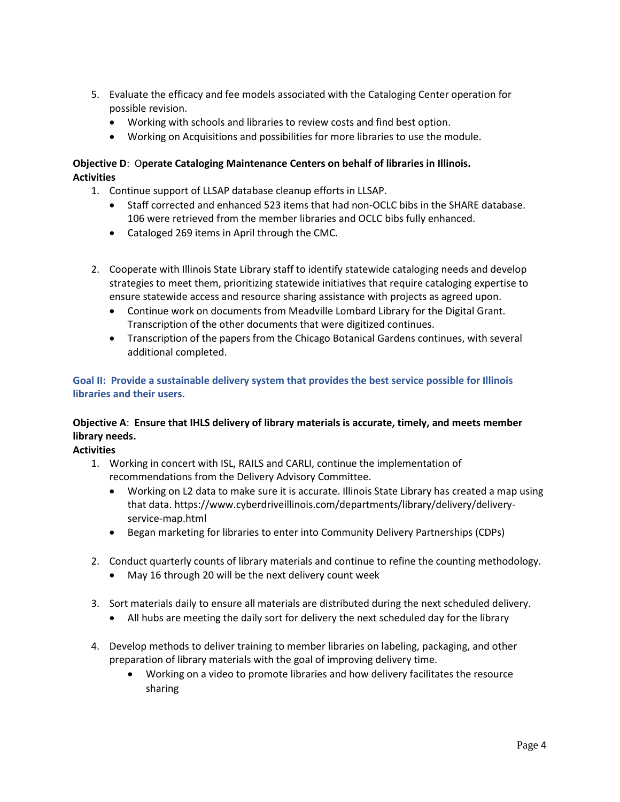- 5. Evaluate the efficacy and fee models associated with the Cataloging Center operation for possible revision.
	- Working with schools and libraries to review costs and find best option.
	- Working on Acquisitions and possibilities for more libraries to use the module.

# **Objective D**: O**perate Cataloging Maintenance Centers on behalf of libraries in Illinois. Activities**

- 1. Continue support of LLSAP database cleanup efforts in LLSAP.
	- Staff corrected and enhanced 523 items that had non-OCLC bibs in the SHARE database. 106 were retrieved from the member libraries and OCLC bibs fully enhanced.
	- Cataloged 269 items in April through the CMC.
- 2. Cooperate with Illinois State Library staff to identify statewide cataloging needs and develop strategies to meet them, prioritizing statewide initiatives that require cataloging expertise to ensure statewide access and resource sharing assistance with projects as agreed upon.
	- Continue work on documents from Meadville Lombard Library for the Digital Grant. Transcription of the other documents that were digitized continues.
	- Transcription of the papers from the Chicago Botanical Gardens continues, with several additional completed.

# **Goal II: Provide a sustainable delivery system that provides the best service possible for Illinois libraries and their users.**

# **Objective A**: **Ensure that IHLS delivery of library materials is accurate, timely, and meets member library needs.**

**Activities**

- 1. Working in concert with ISL, RAILS and CARLI, continue the implementation of recommendations from the Delivery Advisory Committee.
	- Working on L2 data to make sure it is accurate. Illinois State Library has created a map using that data. https://www.cyberdriveillinois.com/departments/library/delivery/deliveryservice-map.html
	- Began marketing for libraries to enter into Community Delivery Partnerships (CDPs)
- 2. Conduct quarterly counts of library materials and continue to refine the counting methodology.
	- May 16 through 20 will be the next delivery count week
- 3. Sort materials daily to ensure all materials are distributed during the next scheduled delivery.
	- All hubs are meeting the daily sort for delivery the next scheduled day for the library
- 4. Develop methods to deliver training to member libraries on labeling, packaging, and other preparation of library materials with the goal of improving delivery time.
	- Working on a video to promote libraries and how delivery facilitates the resource sharing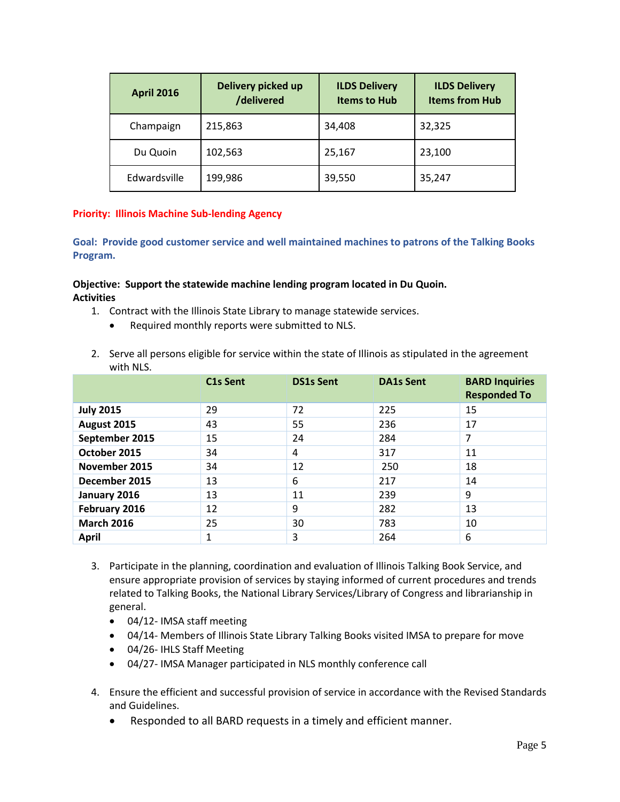| <b>April 2016</b> | Delivery picked up<br>/delivered | <b>ILDS Delivery</b><br><b>Items to Hub</b> | <b>ILDS Delivery</b><br><b>Items from Hub</b> |  |
|-------------------|----------------------------------|---------------------------------------------|-----------------------------------------------|--|
| Champaign         | 215,863                          | 34,408                                      | 32,325                                        |  |
| Du Quoin          | 102,563                          | 25,167                                      | 23,100                                        |  |
| Edwardsville      | 199,986                          | 39,550                                      | 35,247                                        |  |

## **Priority: Illinois Machine Sub-lending Agency**

**Goal: Provide good customer service and well maintained machines to patrons of the Talking Books Program.**

## **Objective: Support the statewide machine lending program located in Du Quoin. Activities**

- 1. Contract with the Illinois State Library to manage statewide services.
	- Required monthly reports were submitted to NLS.
- 2. Serve all persons eligible for service within the state of Illinois as stipulated in the agreement with NLS.

|                   | C1s Sent | <b>DS1s Sent</b> | <b>DA1s Sent</b> | <b>BARD Inquiries</b><br><b>Responded To</b> |
|-------------------|----------|------------------|------------------|----------------------------------------------|
| <b>July 2015</b>  | 29       | 72               | 225              | 15                                           |
| August 2015       | 43       | 55               | 236              | 17                                           |
| September 2015    | 15       | 24               | 284              | 7                                            |
| October 2015      | 34       | 4                | 317              | 11                                           |
| November 2015     | 34       | 12               | 250              | 18                                           |
| December 2015     | 13       | 6                | 217              | 14                                           |
| January 2016      | 13       | 11               | 239              | 9                                            |
| February 2016     | 12       | 9                | 282              | 13                                           |
| <b>March 2016</b> | 25       | 30               | 783              | 10                                           |
| <b>April</b>      | 1        | 3                | 264              | 6                                            |

- 3. Participate in the planning, coordination and evaluation of Illinois Talking Book Service, and ensure appropriate provision of services by staying informed of current procedures and trends related to Talking Books, the National Library Services/Library of Congress and librarianship in general.
	- 04/12- IMSA staff meeting
	- 04/14- Members of Illinois State Library Talking Books visited IMSA to prepare for move
	- 04/26- IHLS Staff Meeting
	- 04/27- IMSA Manager participated in NLS monthly conference call
- 4. Ensure the efficient and successful provision of service in accordance with the Revised Standards and Guidelines.
	- Responded to all BARD requests in a timely and efficient manner.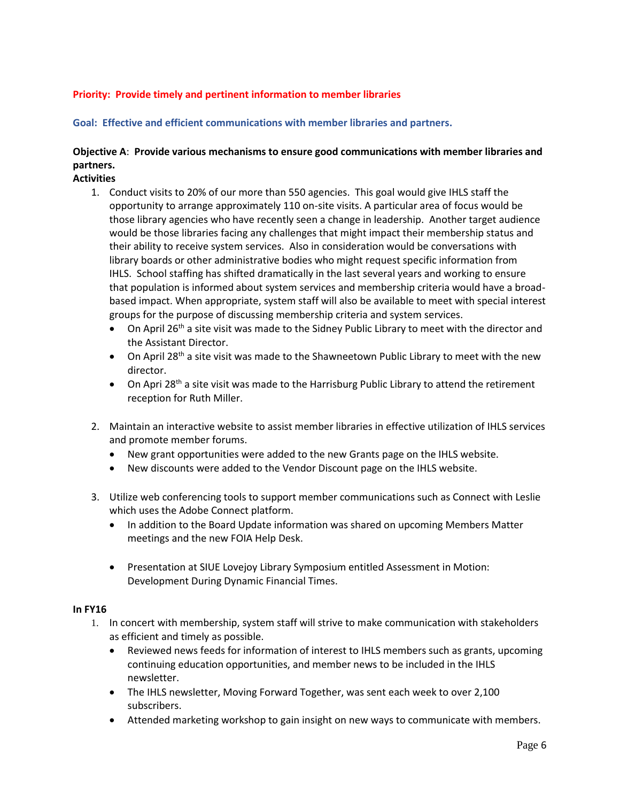# **Priority: Provide timely and pertinent information to member libraries**

**Goal: Effective and efficient communications with member libraries and partners.**

# **Objective A**: **Provide various mechanisms to ensure good communications with member libraries and partners.**

### **Activities**

- 1. Conduct visits to 20% of our more than 550 agencies. This goal would give IHLS staff the opportunity to arrange approximately 110 on-site visits. A particular area of focus would be those library agencies who have recently seen a change in leadership. Another target audience would be those libraries facing any challenges that might impact their membership status and their ability to receive system services. Also in consideration would be conversations with library boards or other administrative bodies who might request specific information from IHLS. School staffing has shifted dramatically in the last several years and working to ensure that population is informed about system services and membership criteria would have a broadbased impact. When appropriate, system staff will also be available to meet with special interest groups for the purpose of discussing membership criteria and system services.
	- $\bullet$  On April 26<sup>th</sup> a site visit was made to the Sidney Public Library to meet with the director and the Assistant Director.
	- $\bullet$  On April 28<sup>th</sup> a site visit was made to the Shawneetown Public Library to meet with the new director.
	- On Apri 28<sup>th</sup> a site visit was made to the Harrisburg Public Library to attend the retirement reception for Ruth Miller.
- 2. Maintain an interactive website to assist member libraries in effective utilization of IHLS services and promote member forums.
	- New grant opportunities were added to the new Grants page on the IHLS website.
	- New discounts were added to the Vendor Discount page on the IHLS website.
- 3. Utilize web conferencing tools to support member communications such as Connect with Leslie which uses the Adobe Connect platform.
	- In addition to the Board Update information was shared on upcoming Members Matter meetings and the new FOIA Help Desk.
	- Presentation at SIUE Lovejoy Library Symposium entitled Assessment in Motion: Development During Dynamic Financial Times.

#### **In FY16**

- 1. In concert with membership, system staff will strive to make communication with stakeholders as efficient and timely as possible.
	- Reviewed news feeds for information of interest to IHLS members such as grants, upcoming continuing education opportunities, and member news to be included in the IHLS newsletter.
	- The IHLS newsletter, Moving Forward Together, was sent each week to over 2,100 subscribers.
	- Attended marketing workshop to gain insight on new ways to communicate with members.